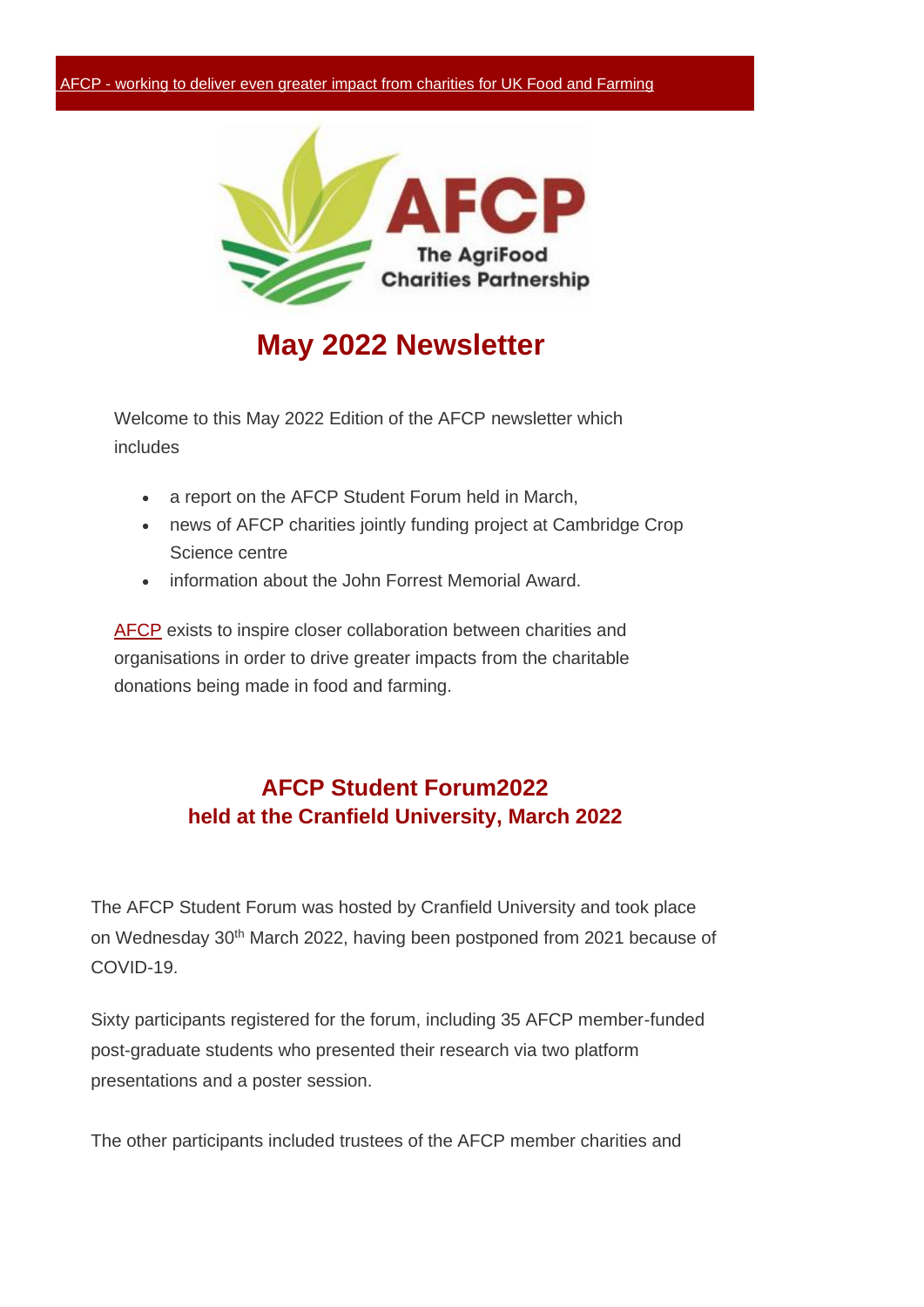

## **May 2022 Newsletter**

Welcome to this May 2022 Edition of the AFCP newsletter which includes

- a report on the AFCP Student Forum held in March,
- news of AFCP charities jointly funding project at Cambridge Crop Science centre
- information about the John Forrest Memorial Award.

[AFCP](http://www.eshotpro.co.uk/mailer/link.php?M=64047&N=1267&L=673&F=H) exists to inspire closer collaboration between charities and organisations in order to drive greater impacts from the charitable donations being made in food and farming.

### **AFCP Student Forum2022 held at the Cranfield University, March 2022**

The AFCP Student Forum was hosted by Cranfield University and took place on Wednesday 30<sup>th</sup> March 2022, having been postponed from 2021 because of COVID-19.

Sixty participants registered for the forum, including 35 AFCP member-funded post-graduate students who presented their research via two platform presentations and a poster session.

The other participants included trustees of the AFCP member charities and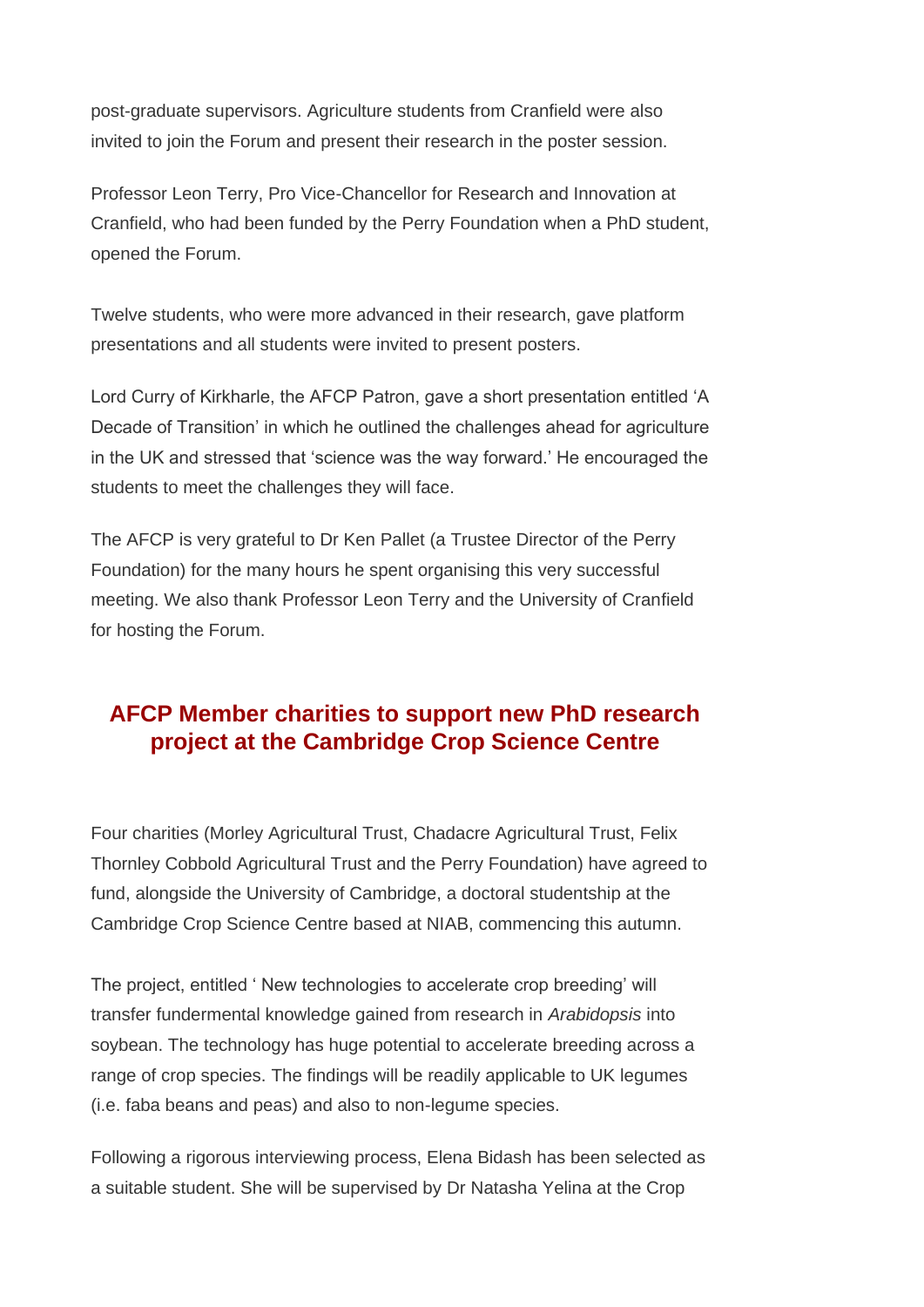post-graduate supervisors. Agriculture students from Cranfield were also invited to join the Forum and present their research in the poster session.

Professor Leon Terry, Pro Vice-Chancellor for Research and Innovation at Cranfield, who had been funded by the Perry Foundation when a PhD student, opened the Forum.

Twelve students, who were more advanced in their research, gave platform presentations and all students were invited to present posters.

Lord Curry of Kirkharle, the AFCP Patron, gave a short presentation entitled 'A Decade of Transition' in which he outlined the challenges ahead for agriculture in the UK and stressed that 'science was the way forward.' He encouraged the students to meet the challenges they will face.

The AFCP is very grateful to Dr Ken Pallet (a Trustee Director of the Perry Foundation) for the many hours he spent organising this very successful meeting. We also thank Professor Leon Terry and the University of Cranfield for hosting the Forum.

### **AFCP Member charities to support new PhD research project at the Cambridge Crop Science Centre**

Four charities (Morley Agricultural Trust, Chadacre Agricultural Trust, Felix Thornley Cobbold Agricultural Trust and the Perry Foundation) have agreed to fund, alongside the University of Cambridge, a doctoral studentship at the Cambridge Crop Science Centre based at NIAB, commencing this autumn.

The project, entitled ' New technologies to accelerate crop breeding' will transfer fundermental knowledge gained from research in *Arabidopsis* into soybean. The technology has huge potential to accelerate breeding across a range of crop species. The findings will be readily applicable to UK legumes (i.e. faba beans and peas) and also to non-legume species.

Following a rigorous interviewing process, Elena Bidash has been selected as a suitable student. She will be supervised by Dr Natasha Yelina at the Crop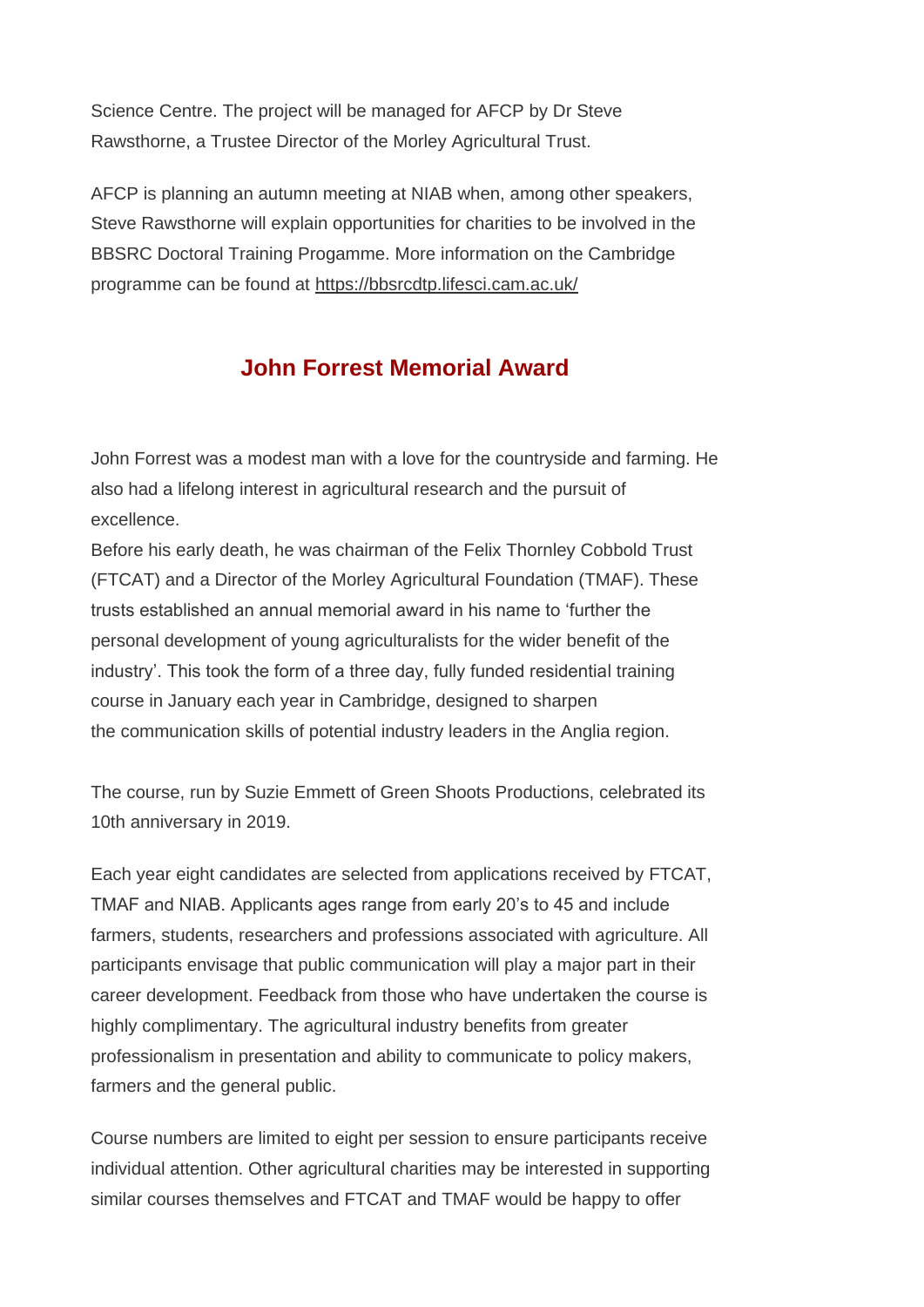Science Centre. The project will be managed for AFCP by Dr Steve Rawsthorne, a Trustee Director of the Morley Agricultural Trust.

AFCP is planning an autumn meeting at NIAB when, among other speakers, Steve Rawsthorne will explain opportunities for charities to be involved in the BBSRC Doctoral Training Progamme. More information on the Cambridge programme can be found at https://bbsrcdtp.lifesci.cam.ac.uk/

#### **John Forrest Memorial Award**

John Forrest was a modest man with a love for the countryside and farming. He also had a lifelong interest in agricultural research and the pursuit of excellence.

Before his early death, he was chairman of the Felix Thornley Cobbold Trust (FTCAT) and a Director of the Morley Agricultural Foundation (TMAF). These trusts established an annual memorial award in his name to 'further the personal development of young agriculturalists for the wider benefit of the industry'. This took the form of a three day, fully funded residential training course in January each year in Cambridge, designed to sharpen the communication skills of potential industry leaders in the Anglia region.

The course, run by Suzie Emmett of Green Shoots Productions, celebrated its 10th anniversary in 2019.

Each year eight candidates are selected from applications received by FTCAT, TMAF and NIAB. Applicants ages range from early 20's to 45 and include farmers, students, researchers and professions associated with agriculture. All participants envisage that public communication will play a major part in their career development. Feedback from those who have undertaken the course is highly complimentary. The agricultural industry benefits from greater professionalism in presentation and ability to communicate to policy makers, farmers and the general public.

Course numbers are limited to eight per session to ensure participants receive individual attention. Other agricultural charities may be interested in supporting similar courses themselves and FTCAT and TMAF would be happy to offer